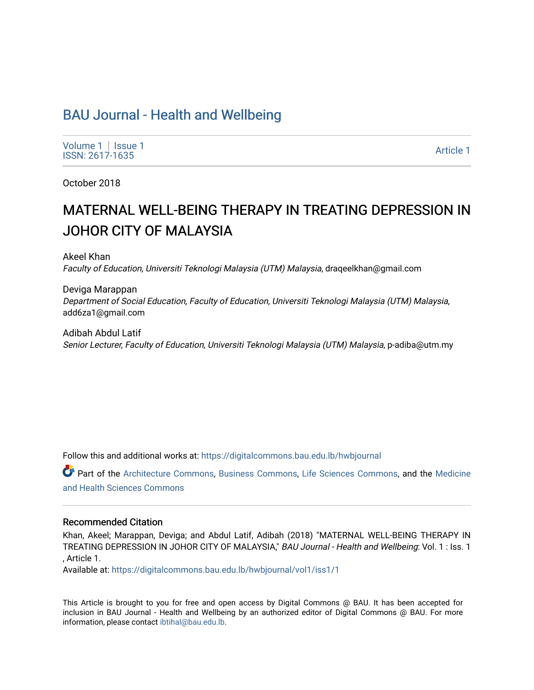# [BAU Journal - Health and Wellbeing](https://digitalcommons.bau.edu.lb/hwbjournal)

[Volume 1](https://digitalcommons.bau.edu.lb/hwbjournal/vol1) | Issue 1 Political Pressure Pressure in the Second Second Second Second Second Second Second Second Second Second Second Second Second Second Second Second Second Second Second Second Second Second Second Second Second Second Secon

October 2018

# MATERNAL WELL-BEING THERAPY IN TREATING DEPRESSION IN **JOHOR CITY OF MALAYSIA**

Akeel Khan Faculty of Education, Universiti Teknologi Malaysia (UTM) Malaysia, draqeelkhan@gmail.com

Deviga Marappan Department of Social Education, Faculty of Education, Universiti Teknologi Malaysia (UTM) Malaysia, add6za1@gmail.com

Adibah Abdul Latif Senior Lecturer, Faculty of Education, Universiti Teknologi Malaysia (UTM) Malaysia, p-adiba@utm.my

Follow this and additional works at: [https://digitalcommons.bau.edu.lb/hwbjournal](https://digitalcommons.bau.edu.lb/hwbjournal?utm_source=digitalcommons.bau.edu.lb%2Fhwbjournal%2Fvol1%2Fiss1%2F1&utm_medium=PDF&utm_campaign=PDFCoverPages)

Part of the [Architecture Commons](http://network.bepress.com/hgg/discipline/773?utm_source=digitalcommons.bau.edu.lb%2Fhwbjournal%2Fvol1%2Fiss1%2F1&utm_medium=PDF&utm_campaign=PDFCoverPages), [Business Commons,](http://network.bepress.com/hgg/discipline/622?utm_source=digitalcommons.bau.edu.lb%2Fhwbjournal%2Fvol1%2Fiss1%2F1&utm_medium=PDF&utm_campaign=PDFCoverPages) [Life Sciences Commons](http://network.bepress.com/hgg/discipline/1016?utm_source=digitalcommons.bau.edu.lb%2Fhwbjournal%2Fvol1%2Fiss1%2F1&utm_medium=PDF&utm_campaign=PDFCoverPages), and the [Medicine](http://network.bepress.com/hgg/discipline/648?utm_source=digitalcommons.bau.edu.lb%2Fhwbjournal%2Fvol1%2Fiss1%2F1&utm_medium=PDF&utm_campaign=PDFCoverPages)  [and Health Sciences Commons](http://network.bepress.com/hgg/discipline/648?utm_source=digitalcommons.bau.edu.lb%2Fhwbjournal%2Fvol1%2Fiss1%2F1&utm_medium=PDF&utm_campaign=PDFCoverPages)

#### Recommended Citation

Khan, Akeel; Marappan, Deviga; and Abdul Latif, Adibah (2018) "MATERNAL WELL-BEING THERAPY IN TREATING DEPRESSION IN JOHOR CITY OF MALAYSIA," BAU Journal - Health and Wellbeing: Vol. 1 : Iss. 1 , Article 1.

Available at: [https://digitalcommons.bau.edu.lb/hwbjournal/vol1/iss1/1](https://digitalcommons.bau.edu.lb/hwbjournal/vol1/iss1/1?utm_source=digitalcommons.bau.edu.lb%2Fhwbjournal%2Fvol1%2Fiss1%2F1&utm_medium=PDF&utm_campaign=PDFCoverPages) 

This Article is brought to you for free and open access by Digital Commons @ BAU. It has been accepted for inclusion in BAU Journal - Health and Wellbeing by an authorized editor of Digital Commons @ BAU. For more information, please contact [ibtihal@bau.edu.lb.](mailto:ibtihal@bau.edu.lb)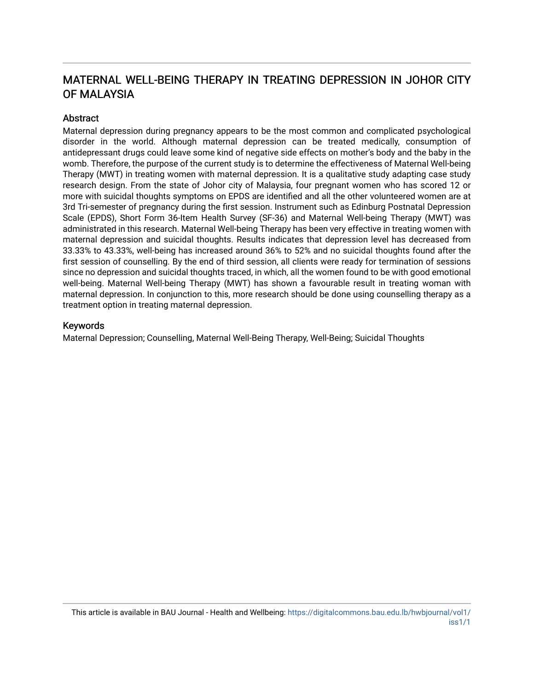# MATERNAL WELL-BEING THERAPY IN TREATING DEPRESSION IN JOHOR CITY OF MALAYSIA

## **Abstract**

Maternal depression during pregnancy appears to be the most common and complicated psychological disorder in the world. Although maternal depression can be treated medically, consumption of antidepressant drugs could leave some kind of negative side effects on mother's body and the baby in the womb. Therefore, the purpose of the current study is to determine the effectiveness of Maternal Well-being Therapy (MWT) in treating women with maternal depression. It is a qualitative study adapting case study research design. From the state of Johor city of Malaysia, four pregnant women who has scored 12 or more with suicidal thoughts symptoms on EPDS are identified and all the other volunteered women are at 3rd Tri-semester of pregnancy during the first session. Instrument such as Edinburg Postnatal Depression Scale (EPDS), Short Form 36-Item Health Survey (SF-36) and Maternal Well-being Therapy (MWT) was administrated in this research. Maternal Well-being Therapy has been very effective in treating women with maternal depression and suicidal thoughts. Results indicates that depression level has decreased from 33.33% to 43.33%, well-being has increased around 36% to 52% and no suicidal thoughts found after the first session of counselling. By the end of third session, all clients were ready for termination of sessions since no depression and suicidal thoughts traced, in which, all the women found to be with good emotional well-being. Maternal Well-being Therapy (MWT) has shown a favourable result in treating woman with maternal depression. In conjunction to this, more research should be done using counselling therapy as a treatment option in treating maternal depression.

#### Keywords

Maternal Depression; Counselling, Maternal Well-Being Therapy, Well-Being; Suicidal Thoughts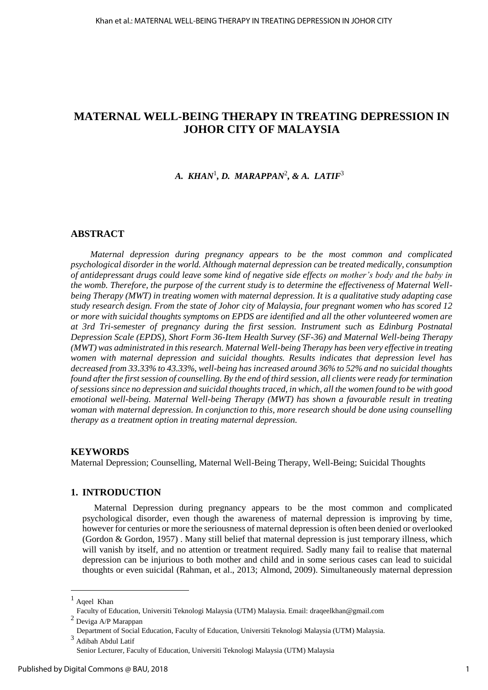## **MATERNAL WELL-BEING THERAPY IN TREATING DEPRESSION IN JOHOR CITY OF MALAYSIA**

## *A. KHAN* $^1$ *, D. MARAPPAN* $^2$ *, & A. LATIF* $^3$

#### **ABSTRACT**

*Maternal depression during pregnancy appears to be the most common and complicated psychological disorder in the world. Although maternal depression can be treated medically, consumption of antidepressant drugs could leave some kind of negative side effects on mother's body and the baby in the womb. Therefore, the purpose of the current study is to determine the effectiveness of Maternal Wellbeing Therapy (MWT) in treating women with maternal depression. It is a qualitative study adapting case study research design. From the state of Johor city of Malaysia, four pregnant women who has scored 12 or more with suicidal thoughts symptoms on EPDS are identified and all the other volunteered women are at 3rd Tri-semester of pregnancy during the first session. Instrument such as Edinburg Postnatal Depression Scale (EPDS), Short Form 36-Item Health Survey (SF-36) and Maternal Well-being Therapy (MWT) was administrated in this research. Maternal Well-being Therapy has been very effective in treating women with maternal depression and suicidal thoughts. Results indicates that depression level has decreased from 33.33% to 43.33%, well-being has increased around 36% to 52% and no suicidal thoughts found after the first session of counselling. By the end of third session, all clients were ready for termination of sessions since no depression and suicidal thoughts traced, in which, all the women found to be with good emotional well-being. Maternal Well-being Therapy (MWT) has shown a favourable result in treating woman with maternal depression. In conjunction to this, more research should be done using counselling therapy as a treatment option in treating maternal depression.*

#### **KEYWORDS**

Maternal Depression; Counselling, Maternal Well-Being Therapy, Well-Being; Suicidal Thoughts

#### **1. INTRODUCTION**

Maternal Depression during pregnancy appears to be the most common and complicated psychological disorder, even though the awareness of maternal depression is improving by time, however for centuries or more the seriousness of maternal depression is often been denied or overlooked (Gordon & Gordon, 1957) . Many still belief that maternal depression is just temporary illness, which will vanish by itself, and no attention or treatment required. Sadly many fail to realise that maternal depression can be injurious to both mother and child and in some serious cases can lead to suicidal thoughts or even suicidal (Rahman, et al., 2013; Almond, 2009). Simultaneously maternal depression

 $\overline{a}$ 

Ageel Khan

Faculty of Education, Universiti Teknologi Malaysia (UTM) Malaysia. Email: [draqeelkhan@gmail.com](mailto:draqeelkhan@gmail.com) <sup>2</sup> Deviga A/P Marappan

Department of Social Education, Faculty of Education, Universiti Teknologi Malaysia (UTM) Malaysia.  $^3$ Adibah Abdul Latif

Senior Lecturer, Faculty of Education, Universiti Teknologi Malaysia (UTM) Malaysia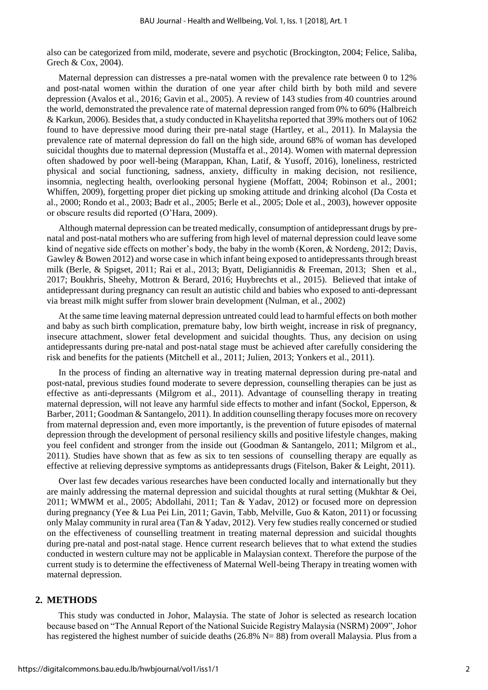also can be categorized from mild, moderate, severe and psychotic (Brockington, 2004; Felice, Saliba, Grech & Cox, 2004).

Maternal depression can distresses a pre-natal women with the prevalence rate between 0 to 12% and post-natal women within the duration of one year after child birth by both mild and severe depression (Avalos et al., 2016; Gavin et al., 2005). A review of 143 studies from 40 countries around the world, demonstrated the prevalence rate of maternal depression ranged from 0% to 60% (Halbreich & Karkun, 2006). Besides that, a study conducted in Khayelitsha reported that 39% mothers out of 1062 found to have depressive mood during their pre-natal stage (Hartley, et al., 2011). In Malaysia the prevalence rate of maternal depression do fall on the high side, around 68% of woman has developed suicidal thoughts due to maternal depression (Mustaffa et al., 2014). Women with maternal depression often shadowed by poor well-being (Marappan, Khan, Latif, & Yusoff, 2016), loneliness, restricted physical and social functioning, sadness, anxiety, difficulty in making decision, not resilience, insomnia, neglecting health, overlooking personal hygiene (Moffatt, 2004; Robinson et al., 2001; Whiffen, 2009), forgetting proper diet picking up smoking attitude and drinking alcohol (Da Costa et al., 2000; Rondo et al., 2003; Badr et al., 2005; Berle et al., 2005; Dole et al., 2003), however opposite or obscure results did reported (O'Hara, 2009).

Although maternal depression can be treated medically, consumption of antidepressant drugs by prenatal and post-natal mothers who are suffering from high level of maternal depression could leave some kind of negative side effects on mother's body, the baby in the womb (Koren, & Nordeng, 2012; Davis, Gawley & Bowen 2012) and worse case in which infant being exposed to antidepressants through breast milk (Berle, & Spigset, 2011; Rai et al., 2013; Byatt, Deligiannidis & Freeman, 2013; Shen et al., 2017; Boukhris, Sheehy, Mottron & Berard, 2016; Huybrechts et al., 2015). Believed that intake of antidepressant during pregnancy can result an autistic child and babies who exposed to anti-depressant via breast milk might suffer from slower brain development (Nulman, et al., 2002)

At the same time leaving maternal depression untreated could lead to harmful effects on both mother and baby as such birth complication, premature baby, low birth weight, increase in risk of pregnancy, insecure attachment, slower fetal development and suicidal thoughts. Thus, any decision on using antidepressants during pre-natal and post-natal stage must be achieved after carefully considering the risk and benefits for the patients (Mitchell et al., 2011; Julien, 2013; Yonkers et al., 2011).

In the process of finding an alternative way in treating maternal depression during pre-natal and post-natal, previous studies found moderate to severe depression, counselling therapies can be just as effective as anti-depressants (Milgrom et al., 2011). Advantage of counselling therapy in treating maternal depression, will not leave any harmful side effects to mother and infant (Sockol, Epperson, & Barber, 2011; Goodman & Santangelo, 2011). In addition counselling therapy focuses more on recovery from maternal depression and, even more importantly, is the prevention of future episodes of maternal depression through the development of personal resiliency skills and positive lifestyle changes, making you feel confident and stronger from the inside out (Goodman & Santangelo, 2011; Milgrom et al., 2011). Studies have shown that as few as six to ten sessions of counselling therapy are equally as effective at relieving depressive symptoms as antidepressants drugs (Fitelson, Baker & Leight, 2011).

Over last few decades various researches have been conducted locally and internationally but they are mainly addressing the maternal depression and suicidal thoughts at rural setting (Mukhtar & Oei, 2011; WMWM et al., 2005; Abdollahi, 2011; Tan & Yadav, 2012) or focused more on depression during pregnancy (Yee & Lua Pei Lin, 2011; Gavin, Tabb, Melville, Guo & Katon, 2011) or focussing only Malay community in rural area (Tan & Yadav, 2012). Very few studies really concerned or studied on the effectiveness of counselling treatment in treating maternal depression and suicidal thoughts during pre-natal and post-natal stage. Hence current research believes that to what extend the studies conducted in western culture may not be applicable in Malaysian context. Therefore the purpose of the current study is to determine the effectiveness of Maternal Well-being Therapy in treating women with maternal depression.

#### **2. METHODS**

This study was conducted in Johor, Malaysia. The state of Johor is selected as research location because based on "The Annual Report of the National Suicide Registry Malaysia (NSRM) 2009", Johor has registered the highest number of suicide deaths (26.8% N= 88) from overall Malaysia. Plus from a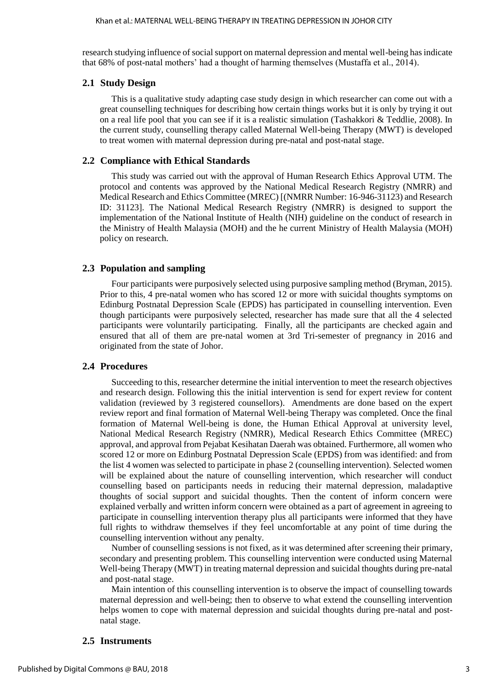research studying influence of social support on maternal depression and mental well-being has indicate that 68% of post-natal mothers' had a thought of harming themselves (Mustaffa et al., 2014).

#### **2.1 Study Design**

This is a qualitative study adapting case study design in which researcher can come out with a great counselling techniques for describing how certain things works but it is only by trying it out on a real life pool that you can see if it is a realistic simulation (Tashakkori & Teddlie, 2008). In the current study, counselling therapy called Maternal Well-being Therapy (MWT) is developed to treat women with maternal depression during pre-natal and post-natal stage.

#### **2.2 Compliance with Ethical Standards**

This study was carried out with the approval of Human Research Ethics Approval UTM. The protocol and contents was approved by the National Medical Research Registry (NMRR) and Medical Research and Ethics Committee (MREC) [(NMRR Number: 16-946-31123) and Research ID: 31123]. The National Medical Research Registry (NMRR) is designed to support the implementation of the National Institute of Health (NIH) guideline on the conduct of research in the Ministry of Health Malaysia (MOH) and the he current Ministry of Health Malaysia (MOH) policy on research.

### **2.3 Population and sampling**

Four participants were purposively selected using purposive sampling method (Bryman, 2015). Prior to this, 4 pre-natal women who has scored 12 or more with suicidal thoughts symptoms on Edinburg Postnatal Depression Scale (EPDS) has participated in counselling intervention. Even though participants were purposively selected, researcher has made sure that all the 4 selected participants were voluntarily participating. Finally, all the participants are checked again and ensured that all of them are pre-natal women at 3rd Tri-semester of pregnancy in 2016 and originated from the state of Johor.

#### **2.4 Procedures**

Succeeding to this, researcher determine the initial intervention to meet the research objectives and research design. Following this the initial intervention is send for expert review for content validation (reviewed by 3 registered counsellors). Amendments are done based on the expert review report and final formation of Maternal Well-being Therapy was completed. Once the final formation of Maternal Well-being is done, the Human Ethical Approval at university level, National Medical Research Registry (NMRR), Medical Research Ethics Committee (MREC) approval, and approval from Pejabat Kesihatan Daerah was obtained. Furthermore, all women who scored 12 or more on Edinburg Postnatal Depression Scale (EPDS) from was identified: and from the list 4 women was selected to participate in phase 2 (counselling intervention). Selected women will be explained about the nature of counselling intervention, which researcher will conduct counselling based on participants needs in reducing their maternal depression, maladaptive thoughts of social support and suicidal thoughts. Then the content of inform concern were explained verbally and written inform concern were obtained as a part of agreement in agreeing to participate in counselling intervention therapy plus all participants were informed that they have full rights to withdraw themselves if they feel uncomfortable at any point of time during the counselling intervention without any penalty.

Number of counselling sessions is not fixed, as it was determined after screening their primary, secondary and presenting problem. This counselling intervention were conducted using Maternal Well-being Therapy (MWT) in treating maternal depression and suicidal thoughts during pre-natal and post-natal stage.

Main intention of this counselling intervention is to observe the impact of counselling towards maternal depression and well-being; then to observe to what extend the counselling intervention helps women to cope with maternal depression and suicidal thoughts during pre-natal and postnatal stage.

#### **2.5 Instruments**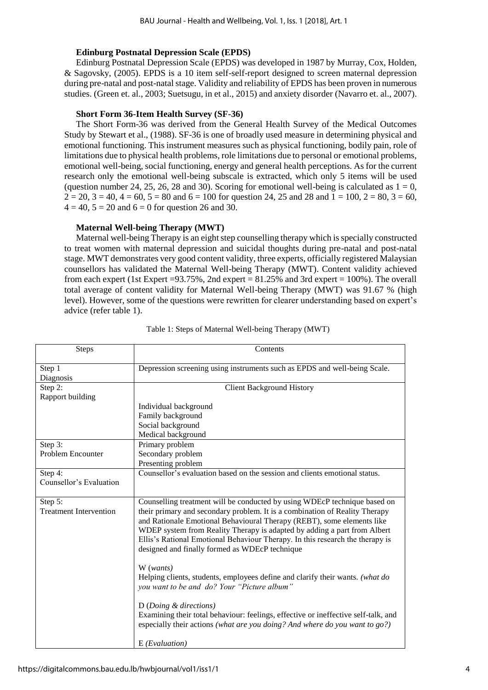#### **Edinburg Postnatal Depression Scale (EPDS)**

Edinburg Postnatal Depression Scale (EPDS) was developed in 1987 by Murray, Cox, Holden, & Sagovsky, (2005). EPDS is a 10 item self-self-report designed to screen maternal depression during pre-natal and post-natal stage. Validity and reliability of EPDS has been proven in numerous studies. (Green et. al., 2003; Suetsugu, in et al., 2015) and anxiety disorder (Navarro et. al., 2007).

#### **Short Form 36-Item Health Survey (SF-36)**

The Short Form-36 was derived from the General Health Survey of the Medical Outcomes Study by Stewart et al., (1988). SF-36 is one of broadly used measure in determining physical and emotional functioning. This instrument measures such as physical functioning, bodily pain, role of limitations due to physical health problems, role limitations due to personal or emotional problems, emotional well-being, social functioning, energy and general health perceptions. As for the current research only the emotional well-being subscale is extracted, which only 5 items will be used (question number 24, 25, 26, 28 and 30). Scoring for emotional well-being is calculated as  $1 = 0$ ,  $2 = 20$ ,  $3 = 40$ ,  $4 = 60$ ,  $5 = 80$  and  $6 = 100$  for question 24, 25 and 28 and  $1 = 100$ ,  $2 = 80$ ,  $3 = 60$ ,  $4 = 40, 5 = 20$  and  $6 = 0$  for question 26 and 30.

#### **Maternal Well-being Therapy (MWT)**

Maternal well-being Therapy is an eight step counselling therapy which is specially constructed to treat women with maternal depression and suicidal thoughts during pre-natal and post-natal stage. MWT demonstrates very good content validity, three experts, officially registered Malaysian counsellors has validated the Maternal Well-being Therapy (MWT). Content validity achieved from each expert (1st Expert =93.75%, 2nd expert =  $81.25%$  and 3rd expert = 100%). The overall total average of content validity for Maternal Well-being Therapy (MWT) was 91.67 % (high level). However, some of the questions were rewritten for clearer understanding based on expert's advice (refer table 1).

| <b>Steps</b>                             | Contents                                                                                                                                                                                                                                                                                                                                                                                                                                                                                                                                                                                                                                                                                                                                                                                                                                  |  |  |  |  |  |
|------------------------------------------|-------------------------------------------------------------------------------------------------------------------------------------------------------------------------------------------------------------------------------------------------------------------------------------------------------------------------------------------------------------------------------------------------------------------------------------------------------------------------------------------------------------------------------------------------------------------------------------------------------------------------------------------------------------------------------------------------------------------------------------------------------------------------------------------------------------------------------------------|--|--|--|--|--|
| Step 1<br>Diagnosis                      | Depression screening using instruments such as EPDS and well-being Scale.                                                                                                                                                                                                                                                                                                                                                                                                                                                                                                                                                                                                                                                                                                                                                                 |  |  |  |  |  |
| Step 2:                                  | <b>Client Background History</b>                                                                                                                                                                                                                                                                                                                                                                                                                                                                                                                                                                                                                                                                                                                                                                                                          |  |  |  |  |  |
| Rapport building                         |                                                                                                                                                                                                                                                                                                                                                                                                                                                                                                                                                                                                                                                                                                                                                                                                                                           |  |  |  |  |  |
|                                          | Individual background                                                                                                                                                                                                                                                                                                                                                                                                                                                                                                                                                                                                                                                                                                                                                                                                                     |  |  |  |  |  |
|                                          | Family background                                                                                                                                                                                                                                                                                                                                                                                                                                                                                                                                                                                                                                                                                                                                                                                                                         |  |  |  |  |  |
|                                          | Social background                                                                                                                                                                                                                                                                                                                                                                                                                                                                                                                                                                                                                                                                                                                                                                                                                         |  |  |  |  |  |
|                                          | Medical background                                                                                                                                                                                                                                                                                                                                                                                                                                                                                                                                                                                                                                                                                                                                                                                                                        |  |  |  |  |  |
| Step 3:                                  | Primary problem                                                                                                                                                                                                                                                                                                                                                                                                                                                                                                                                                                                                                                                                                                                                                                                                                           |  |  |  |  |  |
| <b>Problem Encounter</b>                 | Secondary problem                                                                                                                                                                                                                                                                                                                                                                                                                                                                                                                                                                                                                                                                                                                                                                                                                         |  |  |  |  |  |
|                                          | Presenting problem                                                                                                                                                                                                                                                                                                                                                                                                                                                                                                                                                                                                                                                                                                                                                                                                                        |  |  |  |  |  |
| Step 4:                                  | Counsellor's evaluation based on the session and clients emotional status.                                                                                                                                                                                                                                                                                                                                                                                                                                                                                                                                                                                                                                                                                                                                                                |  |  |  |  |  |
| Counsellor's Evaluation                  |                                                                                                                                                                                                                                                                                                                                                                                                                                                                                                                                                                                                                                                                                                                                                                                                                                           |  |  |  |  |  |
| Step 5:<br><b>Treatment Intervention</b> | Counselling treatment will be conducted by using WDEcP technique based on<br>their primary and secondary problem. It is a combination of Reality Therapy<br>and Rationale Emotional Behavioural Therapy (REBT), some elements like<br>WDEP system from Reality Therapy is adapted by adding a part from Albert<br>Ellis's Rational Emotional Behaviour Therapy. In this research the therapy is<br>designed and finally formed as WDEcP technique<br>W (wants)<br>Helping clients, students, employees define and clarify their wants. (what do<br>you want to be and do? Your "Picture album"<br>$D$ ( <i>Doing &amp; directions</i> )<br>Examining their total behaviour: feelings, effective or ineffective self-talk, and<br>especially their actions (what are you doing? And where do you want to go?)<br>$E$ ( <i>Evaluation</i> ) |  |  |  |  |  |

Table 1: Steps of Maternal Well-being Therapy (MWT)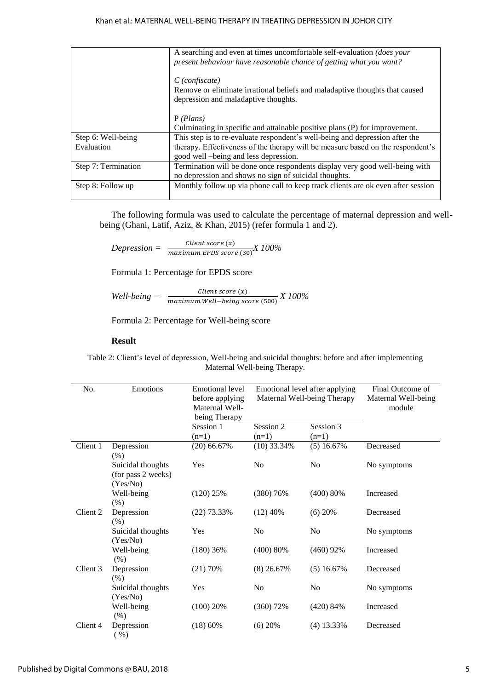|                                  | A searching and even at times uncomfortable self-evaluation <i>(does your</i> )<br>present behaviour have reasonable chance of getting what you want?                                                    |
|----------------------------------|----------------------------------------------------------------------------------------------------------------------------------------------------------------------------------------------------------|
|                                  | $C$ (confiscate)<br>Remove or eliminate irrational beliefs and maladaptive thoughts that caused<br>depression and maladaptive thoughts.                                                                  |
|                                  | P(Plans)<br>Culminating in specific and attainable positive plans (P) for improvement.                                                                                                                   |
| Step 6: Well-being<br>Evaluation | This step is to re-evaluate respondent's well-being and depression after the<br>therapy. Effectiveness of the therapy will be measure based on the respondent's<br>good well -being and less depression. |
| Step 7: Termination              | Termination will be done once respondents display very good well-being with<br>no depression and shows no sign of suicidal thoughts.                                                                     |
| Step 8: Follow up                | Monthly follow up via phone call to keep track clients are ok even after session                                                                                                                         |

The following formula was used to calculate the percentage of maternal depression and wellbeing (Ghani, Latif, Aziz, & Khan, 2015) (refer formula 1 and 2).

 $Depression = \frac{Client\ score(x)}{maximum\ EPDS\ score(30)} X100\%$ 

Formula 1: Percentage for EPDS score

*Well-being =*  Client score  $(x)$ <u>*Maximum Well-being score* (500)</u> *X 100%* 

Formula 2: Percentage for Well-being score

#### **Result**

Table 2: Client's level of depression, Well-being and suicidal thoughts: before and after implementing Maternal Well-being Therapy.

| No.      | Emotions<br><b>Emotional level</b><br>Emotional level after applying<br>before applying<br>Maternal Well-being Therapy<br>Maternal Well-<br>being Therapy |               |                | Final Outcome of<br>Maternal Well-being<br>module |             |
|----------|-----------------------------------------------------------------------------------------------------------------------------------------------------------|---------------|----------------|---------------------------------------------------|-------------|
|          |                                                                                                                                                           | Session 1     | Session 2      | Session 3                                         |             |
|          |                                                                                                                                                           | $(n=1)$       | $(n=1)$        | $(n=1)$                                           |             |
| Client 1 | Depression<br>$(\%)$                                                                                                                                      | $(20)$ 66.67% | $(10)$ 33.34%  | $(5)$ 16.67%                                      | Decreased   |
|          | Suicidal thoughts<br>(for pass 2 weeks)<br>(Yes/No)                                                                                                       | Yes           | N <sub>0</sub> | N <sub>0</sub>                                    | No symptoms |
|          | Well-being<br>$(\% )$                                                                                                                                     | (120) 25%     | (380) 76%      | (400) 80%                                         | Increased   |
| Client 2 | Depression<br>$(\% )$                                                                                                                                     | $(22)$ 73.33% | $(12)$ 40%     | $(6)$ 20%                                         | Decreased   |
|          | Suicidal thoughts<br>(Yes/No)                                                                                                                             | Yes           | N <sub>0</sub> | No                                                | No symptoms |
|          | Well-being<br>$(\%)$                                                                                                                                      | $(180)$ 36%   | (400) 80%      | $(460)$ 92%                                       | Increased   |
| Client 3 | Depression<br>$(\% )$                                                                                                                                     | (21) 70%      | $(8)$ 26.67%   | $(5)$ 16.67%                                      | Decreased   |
|          | Suicidal thoughts<br>(Yes/No)                                                                                                                             | Yes           | N <sub>0</sub> | N <sub>o</sub>                                    | No symptoms |
|          | Well-being<br>$(\% )$                                                                                                                                     | (100) 20%     | (360) 72%      | (420) 84%                                         | Increased   |
| Client 4 | Depression<br>( %)                                                                                                                                        | (18) 60%      | $(6)$ 20%      | $(4)$ 13.33%                                      | Decreased   |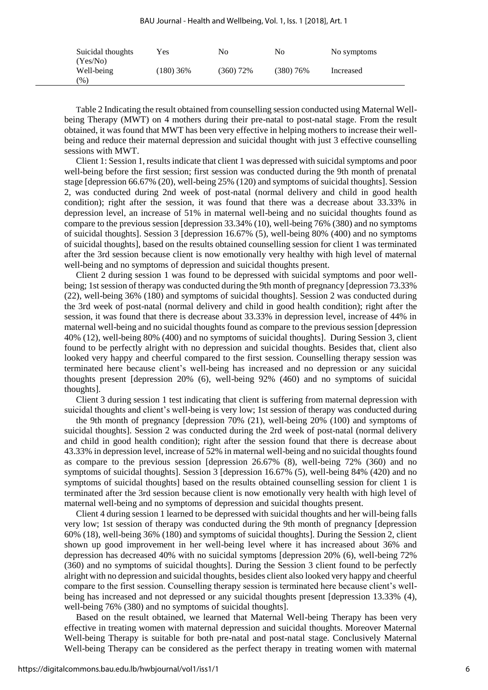BAU Journal - Health and Wellbeing, Vol. 1, Iss. 1 [2018], Art. 1

| Suicidal thoughts<br>(Yes/No) | Yes         | No        | No        | No symptoms |
|-------------------------------|-------------|-----------|-----------|-------------|
| Well-being<br>$(\% )$         | $(180)$ 36% | (360) 72% | (380) 76% | Increased   |

Table 2 Indicating the result obtained from counselling session conducted using Maternal Wellbeing Therapy (MWT) on 4 mothers during their pre-natal to post-natal stage. From the result obtained, it was found that MWT has been very effective in helping mothers to increase their wellbeing and reduce their maternal depression and suicidal thought with just 3 effective counselling sessions with MWT.

Client 1: Session 1, results indicate that client 1 was depressed with suicidal symptoms and poor well-being before the first session; first session was conducted during the 9th month of prenatal stage [depression 66.67% (20), well-being 25% (120) and symptoms of suicidal thoughts]. Session 2, was conducted during 2nd week of post-natal (normal delivery and child in good health condition); right after the session, it was found that there was a decrease about 33.33% in depression level, an increase of 51% in maternal well-being and no suicidal thoughts found as compare to the previous session [depression 33.34% (10), well-being 76% (380) and no symptoms of suicidal thoughts]. Session 3 [depression 16.67% (5), well-being 80% (400) and no symptoms of suicidal thoughts], based on the results obtained counselling session for client 1 was terminated after the 3rd session because client is now emotionally very healthy with high level of maternal well-being and no symptoms of depression and suicidal thoughts present.

Client 2 during session 1 was found to be depressed with suicidal symptoms and poor wellbeing; 1st session of therapy was conducted during the 9th month of pregnancy [depression 73.33% (22), well-being 36% (180) and symptoms of suicidal thoughts]. Session 2 was conducted during the 3rd week of post-natal (normal delivery and child in good health condition); right after the session, it was found that there is decrease about 33.33% in depression level, increase of 44% in maternal well-being and no suicidal thoughts found as compare to the previous session [depression 40% (12), well-being 80% (400) and no symptoms of suicidal thoughts]. During Session 3, client found to be perfectly alright with no depression and suicidal thoughts. Besides that, client also looked very happy and cheerful compared to the first session. Counselling therapy session was terminated here because client's well-being has increased and no depression or any suicidal thoughts present [depression 20% (6), well-being 92% (460) and no symptoms of suicidal thoughts].

Client 3 during session 1 test indicating that client is suffering from maternal depression with suicidal thoughts and client's well-being is very low; 1st session of therapy was conducted during

the 9th month of pregnancy [depression 70% (21), well-being 20% (100) and symptoms of suicidal thoughts]. Session 2 was conducted during the 2rd week of post-natal (normal delivery and child in good health condition); right after the session found that there is decrease about 43.33% in depression level, increase of 52% in maternal well-being and no suicidal thoughts found as compare to the previous session [depression 26.67% (8), well-being 72% (360) and no symptoms of suicidal thoughts]. Session 3 [depression 16.67% (5), well-being 84% (420) and no symptoms of suicidal thoughts] based on the results obtained counselling session for client 1 is terminated after the 3rd session because client is now emotionally very health with high level of maternal well-being and no symptoms of depression and suicidal thoughts present.

Client 4 during session 1 learned to be depressed with suicidal thoughts and her will-being falls very low; 1st session of therapy was conducted during the 9th month of pregnancy [depression 60% (18), well-being 36% (180) and symptoms of suicidal thoughts]. During the Session 2, client shown up good improvement in her well-being level where it has increased about 36% and depression has decreased 40% with no suicidal symptoms [depression 20% (6), well-being 72% (360) and no symptoms of suicidal thoughts]. During the Session 3 client found to be perfectly alright with no depression and suicidal thoughts, besides client also looked very happy and cheerful compare to the first session. Counselling therapy session is terminated here because client's wellbeing has increased and not depressed or any suicidal thoughts present [depression 13.33% (4), well-being 76% (380) and no symptoms of suicidal thoughts].

Based on the result obtained, we learned that Maternal Well-being Therapy has been very effective in treating women with maternal depression and suicidal thoughts. Moreover Maternal Well-being Therapy is suitable for both pre-natal and post-natal stage. Conclusively Maternal Well-being Therapy can be considered as the perfect therapy in treating women with maternal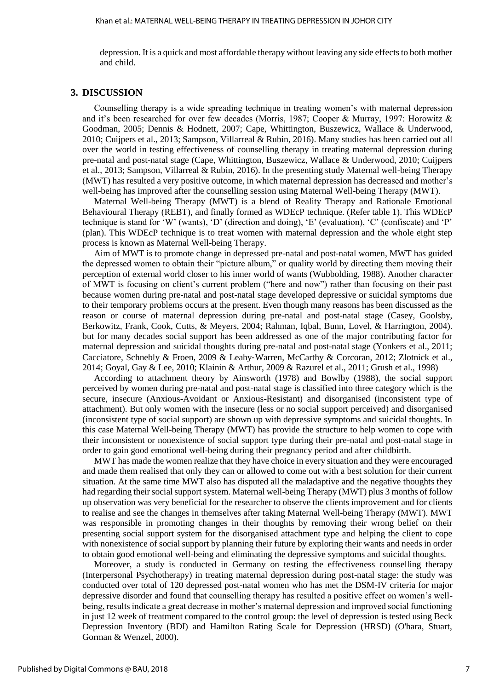depression. It is a quick and most affordable therapy without leaving any side effects to both mother and child.

#### **3. DISCUSSION**

Counselling therapy is a wide spreading technique in treating women's with maternal depression and it's been researched for over few decades (Morris, 1987; Cooper & Murray, 1997: Horowitz & Goodman, 2005; Dennis & Hodnett, 2007; Cape, Whittington, Buszewicz, Wallace & Underwood, 2010; Cuijpers et al., 2013; Sampson, Villarreal & Rubin, 2016). Many studies has been carried out all over the world in testing effectiveness of counselling therapy in treating maternal depression during pre-natal and post-natal stage (Cape, Whittington, Buszewicz, Wallace & Underwood, 2010; Cuijpers et al., 2013; Sampson, Villarreal & Rubin, 2016). In the presenting study Maternal well-being Therapy (MWT) has resulted a very positive outcome, in which maternal depression has decreased and mother's well-being has improved after the counselling session using Maternal Well-being Therapy (MWT).

Maternal Well-being Therapy (MWT) is a blend of Reality Therapy and Rationale Emotional Behavioural Therapy (REBT), and finally formed as WDEcP technique. (Refer table 1). This WDEcP technique is stand for 'W' (wants), 'D' (direction and doing), 'E' (evaluation), 'C' (confiscate) and 'P' (plan). This WDEcP technique is to treat women with maternal depression and the whole eight step process is known as Maternal Well-being Therapy.

Aim of MWT is to promote change in depressed pre-natal and post-natal women, MWT has guided the depressed women to obtain their "picture album," or quality world by directing them moving their perception of external world closer to his inner world of wants (Wubbolding, 1988). Another character of MWT is focusing on client's current problem ("here and now") rather than focusing on their past because women during pre-natal and post-natal stage developed depressive or suicidal symptoms due to their temporary problems occurs at the present. Even though many reasons has been discussed as the reason or course of maternal depression during pre-natal and post-natal stage (Casey, Goolsby, Berkowitz, Frank, Cook, Cutts, & Meyers, 2004; Rahman, Iqbal, Bunn, Lovel, & Harrington, 2004). but for many decades social support has been addressed as one of the major contributing factor for maternal depression and suicidal thoughts during pre-natal and post-natal stage (Yonkers et al., 2011; Cacciatore, Schnebly & Froen, 2009 & Leahy‐Warren, McCarthy & Corcoran, 2012; Zlotnick et al., 2014; Goyal, Gay & Lee, 2010; Klainin & Arthur, 2009 & Razurel et al., 2011; Grush et al., 1998)

According to attachment theory by Ainsworth (1978) and Bowlby (1988), the social support perceived by women during pre-natal and post-natal stage is classified into three category which is the secure, insecure (Anxious-Avoidant or Anxious-Resistant) and disorganised (inconsistent type of attachment). But only women with the insecure (less or no social support perceived) and disorganised (inconsistent type of social support) are shown up with depressive symptoms and suicidal thoughts. In this case Maternal Well-being Therapy (MWT) has provide the structure to help women to cope with their inconsistent or nonexistence of social support type during their pre-natal and post-natal stage in order to gain good emotional well-being during their pregnancy period and after childbirth.

MWT has made the women realize that they have choice in every situation and they were encouraged and made them realised that only they can or allowed to come out with a best solution for their current situation. At the same time MWT also has disputed all the maladaptive and the negative thoughts they had regarding their social support system. Maternal well-being Therapy (MWT) plus 3 months of follow up observation was very beneficial for the researcher to observe the clients improvement and for clients to realise and see the changes in themselves after taking Maternal Well-being Therapy (MWT). MWT was responsible in promoting changes in their thoughts by removing their wrong belief on their presenting social support system for the disorganised attachment type and helping the client to cope with nonexistence of social support by planning their future by exploring their wants and needs in order to obtain good emotional well-being and eliminating the depressive symptoms and suicidal thoughts.

Moreover, a study is conducted in Germany on testing the effectiveness counselling therapy (Interpersonal Psychotherapy) in treating maternal depression during post-natal stage: the study was conducted over total of 120 depressed post-natal women who has met the DSM-IV criteria for major depressive disorder and found that counselling therapy has resulted a positive effect on women's wellbeing, results indicate a great decrease in mother's maternal depression and improved social functioning in just 12 week of treatment compared to the control group: the level of depression is tested using Beck Depression Inventory (BDI) and Hamilton Rating Scale for Depression (HRSD) (O'hara, Stuart, Gorman & Wenzel, 2000).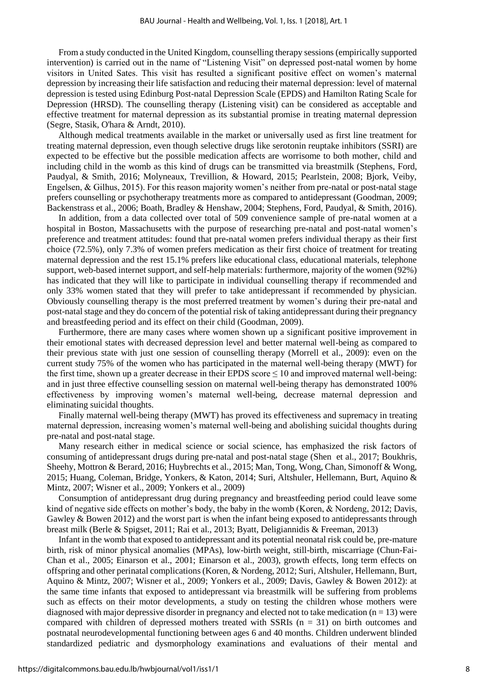From a study conducted in the United Kingdom, counselling therapy sessions (empirically supported intervention) is carried out in the name of "Listening Visit" on depressed post-natal women by home visitors in United Sates. This visit has resulted a significant positive effect on women's maternal depression by increasing their life satisfaction and reducing their maternal depression: level of maternal depression is tested using Edinburg Post-natal Depression Scale (EPDS) and Hamilton Rating Scale for Depression (HRSD). The counselling therapy (Listening visit) can be considered as acceptable and effective treatment for maternal depression as its substantial promise in treating maternal depression (Segre, Stasik, O'hara & Arndt, 2010).

Although medical treatments available in the market or universally used as first line treatment for treating maternal depression, even though selective drugs like serotonin reuptake inhibitors (SSRI) are expected to be effective but the possible medication affects are worrisome to both mother, child and including child in the womb as this kind of drugs can be transmitted via breastmilk (Stephens, Ford, Paudyal, & Smith, 2016; Molyneaux, Trevillion, & Howard, 2015; Pearlstein, 2008; Bjork, Veiby, Engelsen, & Gilhus, 2015). For this reason majority women's neither from pre-natal or post-natal stage prefers counselling or psychotherapy treatments more as compared to antidepressant (Goodman, 2009; Backenstrass et al., 2006; Boath, Bradley & Henshaw, 2004; Stephens, Ford, Paudyal, & Smith, 2016).

In addition, from a data collected over total of 509 convenience sample of pre-natal women at a hospital in Boston, Massachusetts with the purpose of researching pre-natal and post-natal women's preference and treatment attitudes: found that pre-natal women prefers individual therapy as their first choice (72.5%), only 7.3% of women prefers medication as their first choice of treatment for treating maternal depression and the rest 15.1% prefers like educational class, educational materials, telephone support, web-based internet support, and self-help materials: furthermore, majority of the women (92%) has indicated that they will like to participate in individual counselling therapy if recommended and only 33% women stated that they will prefer to take antidepressant if recommended by physician. Obviously counselling therapy is the most preferred treatment by women's during their pre-natal and post-natal stage and they do concern of the potential risk of taking antidepressant during their pregnancy and breastfeeding period and its effect on their child (Goodman, 2009).

Furthermore, there are many cases where women shown up a significant positive improvement in their emotional states with decreased depression level and better maternal well-being as compared to their previous state with just one session of counselling therapy (Morrell et al., 2009): even on the current study 75% of the women who has participated in the maternal well-being therapy (MWT) for the first time, shown up a greater decrease in their EPDS score ≤ 10 and improved maternal well-being: and in just three effective counselling session on maternal well-being therapy has demonstrated 100% effectiveness by improving women's maternal well-being, decrease maternal depression and eliminating suicidal thoughts.

Finally maternal well-being therapy (MWT) has proved its effectiveness and supremacy in treating maternal depression, increasing women's maternal well-being and abolishing suicidal thoughts during pre-natal and post-natal stage.

Many research either in medical science or social science, has emphasized the risk factors of consuming of antidepressant drugs during pre-natal and post-natal stage (Shen et al., 2017; Boukhris, Sheehy, Mottron & Berard, 2016; Huybrechts et al., 2015; Man, Tong, Wong, Chan, Simonoff & Wong, 2015; Huang, Coleman, Bridge, Yonkers, & Katon, 2014; Suri, Altshuler, Hellemann, Burt, Aquino & Mintz, 2007; Wisner et al., 2009; Yonkers et al., 2009)

Consumption of antidepressant drug during pregnancy and breastfeeding period could leave some kind of negative side effects on mother's body, the baby in the womb (Koren, & Nordeng, 2012; Davis, Gawley & Bowen 2012) and the worst part is when the infant being exposed to antidepressants through breast milk (Berle & Spigset, 2011; Rai et al., 2013; Byatt, Deligiannidis & Freeman, 2013)

Infant in the womb that exposed to antidepressant and its potential neonatal risk could be, pre-mature birth, risk of minor physical anomalies (MPAs), low-birth weight, still-birth, miscarriage (Chun-Fai-Chan et al., 2005; Einarson et al., 2001; Einarson et al., 2003), growth effects, long term effects on offspring and other perinatal complications (Koren, & Nordeng, 2012; Suri, Altshuler, Hellemann, Burt, Aquino & Mintz, 2007; Wisner et al., 2009; Yonkers et al., 2009; Davis, Gawley & Bowen 2012): at the same time infants that exposed to antidepressant via breastmilk will be suffering from problems such as effects on their motor developments, a study on testing the children whose mothers were diagnosed with major depressive disorder in pregnancy and elected not to take medication  $(n = 13)$  were compared with children of depressed mothers treated with SSRIs  $(n = 31)$  on birth outcomes and postnatal neurodevelopmental functioning between ages 6 and 40 months. Children underwent blinded standardized pediatric and dysmorphology examinations and evaluations of their mental and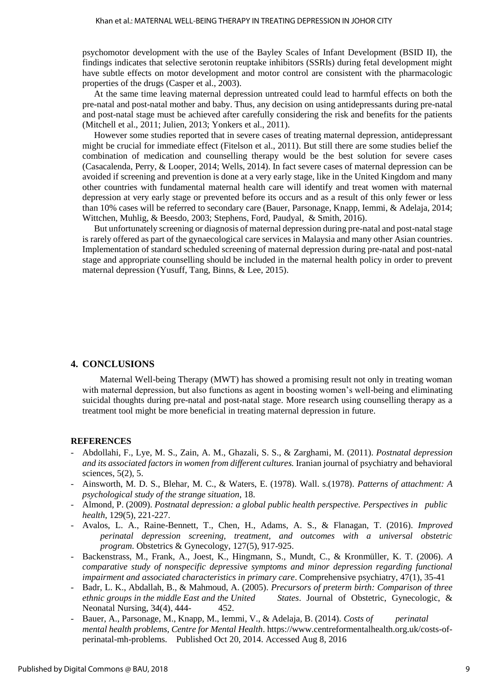psychomotor development with the use of the Bayley Scales of Infant Development (BSID II), the findings indicates that selective serotonin reuptake inhibitors (SSRIs) during fetal development might have subtle effects on motor development and motor control are consistent with the pharmacologic properties of the drugs (Casper et al., 2003).

At the same time leaving maternal depression untreated could lead to harmful effects on both the pre-natal and post-natal mother and baby. Thus, any decision on using antidepressants during pre-natal and post-natal stage must be achieved after carefully considering the risk and benefits for the patients (Mitchell et al., 2011; Julien, 2013; Yonkers et al., 2011).

However some studies reported that in severe cases of treating maternal depression, antidepressant might be crucial for immediate effect (Fitelson et al., 2011). But still there are some studies belief the combination of medication and counselling therapy would be the best solution for severe cases (Casacalenda, Perry, & Looper, 2014; Wells, 2014). In fact severe cases of maternal depression can be avoided if screening and prevention is done at a very early stage, like in the United Kingdom and many other countries with fundamental maternal health care will identify and treat women with maternal depression at very early stage or prevented before its occurs and as a result of this only fewer or less than 10% cases will be referred to secondary care (Bauer, Parsonage, Knapp, Iemmi, & Adelaja, 2014; Wittchen, Muhlig, & Beesdo, 2003; Stephens, Ford, Paudyal, & Smith, 2016).

But unfortunately screening or diagnosis of maternal depression during pre-natal and post-natal stage is rarely offered as part of the gynaecological care services in Malaysia and many other Asian countries. Implementation of standard scheduled screening of maternal depression during pre-natal and post-natal stage and appropriate counselling should be included in the maternal health policy in order to prevent maternal depression (Yusuff, Tang, Binns, & Lee, 2015).

#### **4. CONCLUSIONS**

Maternal Well-being Therapy (MWT) has showed a promising result not only in treating woman with maternal depression, but also functions as agent in boosting women's well-being and eliminating suicidal thoughts during pre-natal and post-natal stage. More research using counselling therapy as a treatment tool might be more beneficial in treating maternal depression in future.

#### **REFERENCES**

- Abdollahi, F., Lye, M. S., Zain, A. M., Ghazali, S. S., & Zarghami, M. (2011). *Postnatal depression and its associated factors in women from different cultures.* Iranian journal of psychiatry and behavioral sciences, 5(2), 5.
- Ainsworth, M. D. S., Blehar, M. C., & Waters, E. (1978). Wall. s.(1978). *Patterns of attachment: A psychological study of the strange situation*, 18.
- Almond, P. (2009). *Postnatal depression: a global public health perspective. Perspectives in public health*, 129(5), 221-227.
- Avalos, L. A., Raine-Bennett, T., Chen, H., Adams, A. S., & Flanagan, T. (2016). *Improved perinatal depression screening, treatment, and outcomes with a universal obstetric program*. Obstetrics & Gynecology, 127(5), 917-925.
- Backenstrass, M., Frank, A., Joest, K., Hingmann, S., Mundt, C., & Kronmüller, K. T. (2006). *A comparative study of nonspecific depressive symptoms and minor depression regarding functional impairment and associated characteristics in primary care*. Comprehensive psychiatry, 47(1), 35-41
- Badr, L. K., Abdallah, B., & Mahmoud, A. (2005). *Precursors of preterm birth: Comparison of three ethnic groups in the middle East and the United States*. Journal of Obstetric, Gynecologic, & Neonatal Nursing, 34(4), 444-<br>452.
- Bauer, A., Parsonage, M., Knapp, M., Iemmi, V., & Adelaja, B. (2014). *Costs of perinatal mental health problems, Centre for Mental Health*. https:/[/www.centreformentalhealth.org.uk/costs-of](http://www.centreformentalhealth.org.uk/costs-of-perinatal-mh-problems.%20%20%20%20Published%20Oct%2020)[perinatal-mh-problems. Published Oct 20,](http://www.centreformentalhealth.org.uk/costs-of-perinatal-mh-problems.%20%20%20%20Published%20Oct%2020) 2014. Accessed Aug 8, 2016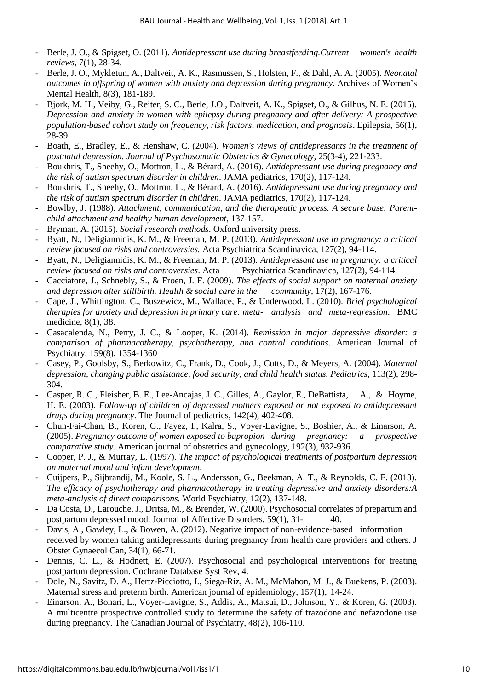- Berle, J. O., & Spigset, O. (2011). *Antidepressant use during breastfeeding.Current women's health reviews*, 7(1), 28-34.
- Berle, J. O., Mykletun, A., Daltveit, A. K., Rasmussen, S., Holsten, F., & Dahl, A. A. (2005). *Neonatal outcomes in offspring of women with anxiety and depression during pregnancy*. Archives of Women's Mental Health, 8(3), 181-189.
- Bjork, M. H., Veiby, G., Reiter, S. C., Berle, J.O., Daltveit, A. K., Spigset, O., & Gilhus, N. E. (2015). *Depression and anxiety in women with epilepsy during pregnancy and after delivery: A prospective population*‐*based cohort study on frequency, risk factors, medication, and prognosis*. Epilepsia, 56(1), 28-39.
- Boath, E., Bradley, E., & Henshaw, C. (2004). *Women's views of antidepressants in the treatment of postnatal depression. Journal of Psychosomatic Obstetrics & Gynecology*, 25(3-4), 221-233.
- Boukhris, T., Sheehy, O., Mottron, L., & Bérard, A. (2016). *Antidepressant use during pregnancy and the risk of autism spectrum disorder in children*. JAMA pediatrics, 170(2), 117-124.
- Boukhris, T., Sheehy, O., Mottron, L., & Bérard, A. (2016). *Antidepressant use during pregnancy and the risk of autism spectrum disorder in children*. JAMA pediatrics, 170(2), 117-124.
- Bowlby, J. (1988). *Attachment, communication, and the therapeutic process. A secure base: Parentchild attachment and healthy human development*, 137-157.
- Bryman, A. (2015). *Social research methods*. Oxford university press.
- Byatt, N., Deligiannidis, K. M., & Freeman, M. P. (2013). *Antidepressant use in pregnancy: a critical review focused on risks and controversies.* Acta Psychiatrica Scandinavica, 127(2), 94-114.
- Byatt, N., Deligiannidis, K. M., & Freeman, M. P. (2013). *Antidepressant use in pregnancy: a critical review focused on risks and controversies*. Acta Psychiatrica Scandinavica, 127(2), 94-114.
- Cacciatore, J., Schnebly, S., & Froen, J. F. (2009). *The effects of social support on maternal anxiety and depression after stillbirth. Health & social care in the community*, 17(2), 167-176.
- Cape, J., Whittington, C., Buszewicz, M., Wallace, P., & Underwood, L. (2010). *Brief psychological therapies for anxiety and depression in primary care: meta- analysis and meta-regression*. BMC medicine, 8(1), 38.
- Casacalenda, N., Perry, J. C., & Looper, K. (2014). *Remission in major depressive disorder: a comparison of pharmacotherapy, psychotherapy, and control conditions*. American Journal of Psychiatry, 159(8), 1354-1360
- Casey, P., Goolsby, S., Berkowitz, C., Frank, D., Cook, J., Cutts, D., & Meyers, A. (2004). *Maternal depression, changing public assistance, food security, and child health status. Pediatrics*, 113(2), 298- 304.
- Casper, R. C., Fleisher, B. E., Lee-Ancajas, J. C., Gilles, A., Gaylor, E., DeBattista, A., & Hoyme, H. E. (2003). *Follow-up of children of depressed mothers exposed or not exposed to antidepressant drugs during pregnancy*. The Journal of pediatrics, 142(4), 402-408.
- Chun-Fai-Chan, B., Koren, G., Fayez, I., Kalra, S., Voyer-Lavigne, S., Boshier, A., & Einarson, A. (2005). *Pregnancy outcome of women exposed to bupropion during pregnancy: a prospective comparative study*. American journal of obstetrics and gynecology, 192(3), 932-936.
- Cooper, P. J., & Murray, L. (1997). *The impact of psychological treatments of postpartum depression on maternal mood and infant development.*
- Cuijpers, P., Sijbrandij, M., Koole, S. L., Andersson, G., Beekman, A. T., & Reynolds, C. F. (2013). *The efficacy of psychotherapy and pharmacotherapy in treating depressive and anxiety disorders:A meta*‐*analysis of direct comparisons.* World Psychiatry, 12(2), 137-148.
- Da Costa, D., Larouche, J., Dritsa, M., & Brender, W. (2000). Psychosocial correlates of prepartum and postpartum depressed mood. Journal of Affective Disorders, 59(1), 31- 40.
- Davis, A., Gawley, L., & Bowen, A. (2012). Negative impact of non-evidence-based information received by women taking antidepressants during pregnancy from health care providers and others. J Obstet Gynaecol Can, 34(1), 66-71.
- Dennis, C. L., & Hodnett, E. (2007). Psychosocial and psychological interventions for treating postpartum depression. Cochrane Database Syst Rev, 4.
- Dole, N., Savitz, D. A., Hertz-Picciotto, I., Siega-Riz, A. M., McMahon, M. J., & Buekens, P. (2003). Maternal stress and preterm birth. American journal of epidemiology, 157(1), 14-24.
- Einarson, A., Bonari, L., Voyer-Lavigne, S., Addis, A., Matsui, D., Johnson, Y., & Koren, G. (2003). A multicentre prospective controlled study to determine the safety of trazodone and nefazodone use during pregnancy. The Canadian Journal of Psychiatry, 48(2), 106-110.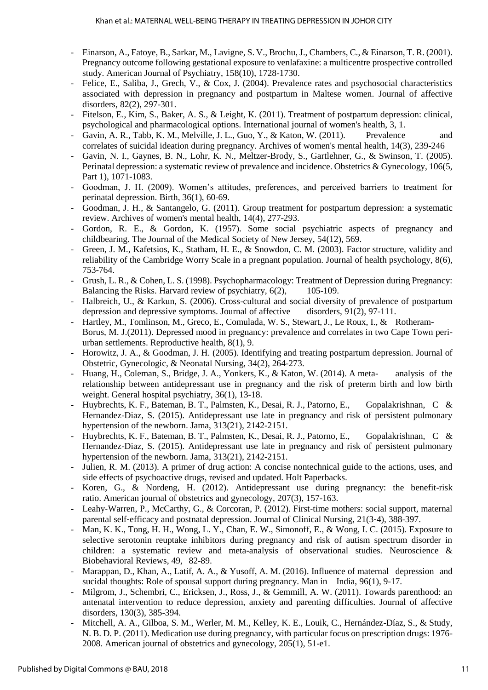- Einarson, A., Fatoye, B., Sarkar, M., Lavigne, S. V., Brochu, J., Chambers, C., & Einarson, T. R. (2001). Pregnancy outcome following gestational exposure to venlafaxine: a multicentre prospective controlled study. American Journal of Psychiatry, 158(10), 1728-1730.
- Felice, E., Saliba, J., Grech, V., & Cox, J. (2004). Prevalence rates and psychosocial characteristics associated with depression in pregnancy and postpartum in Maltese women. Journal of affective disorders, 82(2), 297-301.
- Fitelson, E., Kim, S., Baker, A. S., & Leight, K. (2011). Treatment of postpartum depression: clinical, psychological and pharmacological options. International journal of women's health, 3, 1.
- Gavin, A. R., Tabb, K. M., Melville, J. L., Guo, Y., & Katon, W. (2011). Prevalence and correlates of suicidal ideation during pregnancy. Archives of women's mental health, 14(3), 239-246
- Gavin, N. I., Gaynes, B. N., Lohr, K. N., Meltzer-Brody, S., Gartlehner, G., & Swinson, T. (2005). Perinatal depression: a systematic review of prevalence and incidence. Obstetrics & Gynecology, 106(5, Part 1), 1071-1083.
- Goodman, J. H. (2009). Women's attitudes, preferences, and perceived barriers to treatment for perinatal depression. Birth, 36(1), 60-69.
- Goodman, J. H., & Santangelo, G. (2011). Group treatment for postpartum depression: a systematic review. Archives of women's mental health, 14(4), 277-293.
- Gordon, R. E., & Gordon, K. (1957). Some social psychiatric aspects of pregnancy and childbearing. The Journal of the Medical Society of New Jersey, 54(12), 569.
- Green, J. M., Kafetsios, K., Statham, H. E., & Snowdon, C. M. (2003). Factor structure, validity and reliability of the Cambridge Worry Scale in a pregnant population. Journal of health psychology, 8(6), 753-764.
- Grush, L. R., & Cohen, L. S. (1998). Psychopharmacology: Treatment of Depression during Pregnancy: Balancing the Risks. Harvard review of psychiatry,  $6(2)$ , 105-109.
- Halbreich, U., & Karkun, S. (2006). Cross-cultural and social diversity of prevalence of postpartum depression and depressive symptoms. Journal of affective disorders, 91(2), 97-111.
- Hartley, M., Tomlinson, M., Greco, E., Comulada, W. S., Stewart, J., Le Roux, I., & Rotheram-Borus, M. J.(2011). Depressed mood in pregnancy: prevalence and correlates in two Cape Town periurban settlements. Reproductive health, 8(1), 9.
- Horowitz, J. A., & Goodman, J. H. (2005). Identifying and treating postpartum depression. Journal of Obstetric, Gynecologic, & Neonatal Nursing, 34(2), 264-273.
- Huang, H., Coleman, S., Bridge, J. A., Yonkers, K., & Katon, W. (2014). A meta- analysis of the relationship between antidepressant use in pregnancy and the risk of preterm birth and low birth weight. General hospital psychiatry, 36(1), 13-18.
- Huybrechts, K. F., Bateman, B. T., Palmsten, K., Desai, R. J., Patorno, E., Gopalakrishnan, C & Hernandez-Diaz, S. (2015). Antidepressant use late in pregnancy and risk of persistent pulmonary hypertension of the newborn. Jama, 313(21), 2142-2151.
- Huybrechts, K. F., Bateman, B. T., Palmsten, K., Desai, R. J., Patorno, E., Gopalakrishnan, C & Hernandez-Diaz, S. (2015). Antidepressant use late in pregnancy and risk of persistent pulmonary hypertension of the newborn. Jama, 313(21), 2142-2151.
- Julien, R. M. (2013). A primer of drug action: A concise nontechnical guide to the actions, uses, and side effects of psychoactive drugs, revised and updated. Holt Paperbacks.
- Koren, G., & Nordeng, H. (2012). Antidepressant use during pregnancy: the benefit-risk ratio. American journal of obstetrics and gynecology, 207(3), 157-163.
- Leahy-Warren, P., McCarthy, G., & Corcoran, P. (2012). First-time mothers: social support, maternal parental self‐efficacy and postnatal depression. Journal of Clinical Nursing, 21(3‐4), 388-397.
- Man, K. K., Tong, H. H., Wong, L. Y., Chan, E. W., Simonoff, E., & Wong, I. C. (2015). Exposure to selective serotonin reuptake inhibitors during pregnancy and risk of autism spectrum disorder in children: a systematic review and meta-analysis of observational studies. Neuroscience & Biobehavioral Reviews, 49, 82-89.
- Marappan, D., Khan, A., Latif, A. A., & Yusoff, A. M. (2016). Influence of maternal depression and sucidal thoughts: Role of spousal support during pregnancy. Man in India, 96(1), 9-17.
- Milgrom, J., Schembri, C., Ericksen, J., Ross, J., & Gemmill, A. W. (2011). Towards parenthood: an antenatal intervention to reduce depression, anxiety and parenting difficulties. Journal of affective disorders, 130(3), 385-394.
- Mitchell, A. A., Gilboa, S. M., Werler, M. M., Kelley, K. E., Louik, C., Hernández-Díaz, S., & Study, N. B. D. P. (2011). Medication use during pregnancy, with particular focus on prescription drugs: 1976- 2008. American journal of obstetrics and gynecology, 205(1), 51-e1.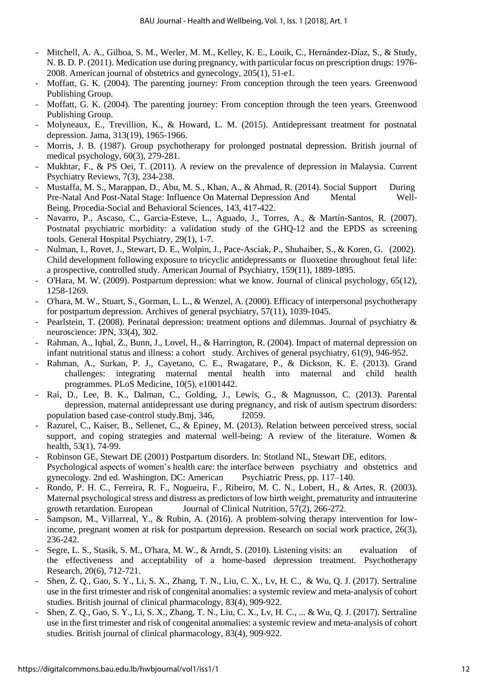- Mitchell, A. A., Gilboa, S. M., Werler, M. M., Kelley, K. E., Louik, C., Hernández-Díaz, S., & Study, N. B. D. P. (2011). Medication use during pregnancy, with particular focus on prescription drugs: 1976- 2008. American journal of obstetrics and gynecology, 205(1), 51-e1.
- Moffatt, G. K. (2004). The parenting journey: From conception through the teen years. Greenwood Publishing Group.
- Moffatt, G. K. (2004). The parenting journey: From conception through the teen years. Greenwood Publishing Group.
- Molyneaux, E., Trevillion, K., & Howard, L. M. (2015). Antidepressant treatment for postnatal depression. Jama, 313(19), 1965-1966.
- Morris, J. B. (1987). Group psychotherapy for prolonged postnatal depression. British journal of medical psychology, 60(3), 279-281.
- Mukhtar, F., & PS Oei, T. (2011). A review on the prevalence of depression in Malaysia. Current Psychiatry Reviews, 7(3), 234-238.
- Mustaffa, M. S., Marappan, D., Abu, M. S., Khan, A., & Ahmad, R. (2014). Social Support During Pre-Natal And Post-Natal Stage: Influence On Maternal Depression And Mental Well-Being. Procedia-Social and Behavioral Sciences, 143, 417-422.
- Navarro, P., Ascaso, C., Garcia-Esteve, L., Aguado, J., Torres, A., & Martín-Santos, R. (2007). Postnatal psychiatric morbidity: a validation study of the GHQ-12 and the EPDS as screening tools. General Hospital Psychiatry, 29(1), 1-7.
- Nulman, I., Rovet, J., Stewart, D. E., Wolpin, J., Pace-Asciak, P., Shuhaiber, S., & Koren, G. (2002). Child development following exposure to tricyclic antidepressants or fluoxetine throughout fetal life: a prospective, controlled study. American Journal of Psychiatry, 159(11), 1889-1895.
- O'Hara, M. W. (2009). Postpartum depression: what we know. Journal of clinical psychology, 65(12), 1258-1269.
- O'hara, M. W., Stuart, S., Gorman, L. L., & Wenzel, A. (2000). Efficacy of interpersonal psychotherapy for postpartum depression. Archives of general psychiatry, 57(11), 1039-1045.
- Pearlstein, T. (2008). Perinatal depression: treatment options and dilemmas. Journal of psychiatry & neuroscience: JPN, 33(4), 302.
- Rahman, A., Iqbal, Z., Bunn, J., Lovel, H., & Harrington, R. (2004). Impact of maternal depression on infant nutritional status and illness: a cohort study. Archives of general psychiatry, 61(9), 946-952.
- Rahman, A., Surkan, P. J., Cayetano, C. E., Rwagatare, P., & Dickson, K. E. (2013). Grand challenges: integrating maternal mental health into maternal and child health programmes. PLoS Medicine, 10(5), e1001442.
- Rai, D., Lee, B. K., Dalman, C., Golding, J., Lewis, G., & Magnusson, C. (2013). Parental depression, maternal antidepressant use during pregnancy, and risk of autism spectrum disorders: population based case-control study.Bmj, 346, f2059.
- Razurel, C., Kaiser, B., Sellenet, C., & Epiney, M. (2013). Relation between perceived stress, social support, and coping strategies and maternal well-being: A review of the literature. Women & health, 53(1), 74-99.
- Robinson GE, Stewart DE (2001) Postpartum disorders. In: Stotland NL, Stewart DE, editors. Psychological aspects of women's health care: the interface between psychiatry and obstetrics and gynecology. 2nd ed. Washington, DC: American Psychiatric Press, pp. 117–140.
- Rondo, P. H. C., Ferreira, R. F., Nogueira, F., Ribeiro, M. C. N., Lobert, H., & Artes, R. (2003). Maternal psychological stress and distress as predictors of low birth weight, prematurity and intrauterine growth retardation. European Journal of Clinical Nutrition, 57(2), 266-272.
- Sampson, M., Villarreal, Y., & Rubin, A. (2016). A problem-solving therapy intervention for lowincome, pregnant women at risk for postpartum depression. Research on social work practice, 26(3), 236-242.
- Segre, L. S., Stasik, S. M., O'hara, M. W., & Arndt, S. (2010). Listening visits: an evaluation of the effectiveness and acceptability of a home-based depression treatment. Psychotherapy Research, 20(6), 712-721.
- Shen, Z. Q., Gao, S. Y., Li, S. X., Zhang, T. N., Liu, C. X., Lv, H. C., & Wu, Q. J. (2017). Sertraline use in the first trimester and risk of congenital anomalies: a systemic review and meta‐analysis of cohort studies. British journal of clinical pharmacology, 83(4), 909-922.
- Shen, Z. Q., Gao, S. Y., Li, S. X., Zhang, T. N., Liu, C. X., Lv, H. C., ... & Wu, Q. J. (2017). Sertraline use in the first trimester and risk of congenital anomalies: a systemic review and meta‐analysis of cohort studies. British journal of clinical pharmacology, 83(4), 909-922.